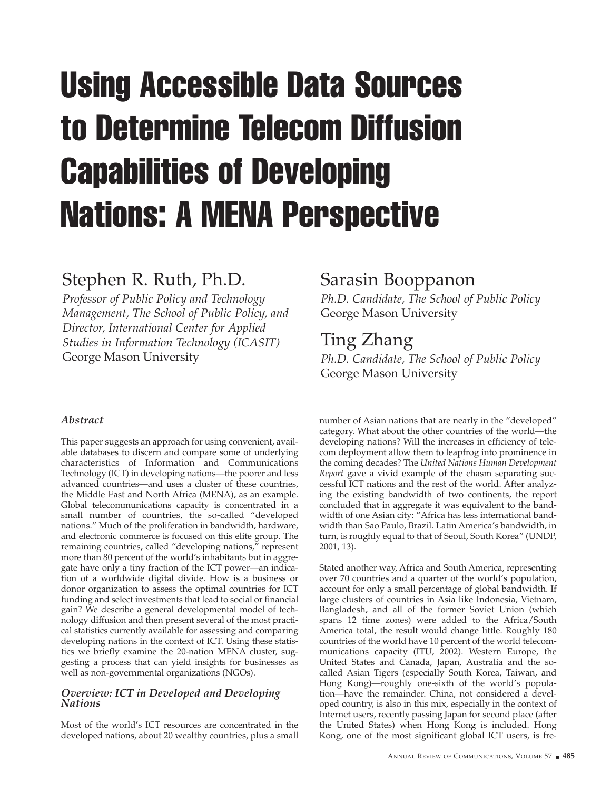# Using Accessible Data Sources to Determine Telecom Diffusion Capabilities of Developing Nations: A MENA Perspective

# Stephen R. Ruth, Ph.D.

*Professor of Public Policy and Technology Management, The School of Public Policy, and Director, International Center for Applied Studies in Information Technology (ICASIT)* George Mason University

# Sarasin Booppanon

*Ph.D. Candidate, The School of Public Policy* George Mason University

# Ting Zhang

*Ph.D. Candidate, The School of Public Policy* George Mason University

# *Abstract*

This paper suggests an approach for using convenient, available databases to discern and compare some of underlying characteristics of Information and Communications Technology (ICT) in developing nations—the poorer and less advanced countries—and uses a cluster of these countries, the Middle East and North Africa (MENA), as an example. Global telecommunications capacity is concentrated in a small number of countries, the so-called "developed nations." Much of the proliferation in bandwidth, hardware, and electronic commerce is focused on this elite group. The remaining countries, called "developing nations," represent more than 80 percent of the world's inhabitants but in aggregate have only a tiny fraction of the ICT power—an indication of a worldwide digital divide. How is a business or donor organization to assess the optimal countries for ICT funding and select investments that lead to social or financial gain? We describe a general developmental model of technology diffusion and then present several of the most practical statistics currently available for assessing and comparing developing nations in the context of ICT. Using these statistics we briefly examine the 20-nation MENA cluster, suggesting a process that can yield insights for businesses as well as non-governmental organizations (NGOs).

## *Overview: ICT in Developed and Developing Nations*

Most of the world's ICT resources are concentrated in the developed nations, about 20 wealthy countries, plus a small

number of Asian nations that are nearly in the "developed" category. What about the other countries of the world—the developing nations? Will the increases in efficiency of telecom deployment allow them to leapfrog into prominence in the coming decades? The *United Nations Human Development Report* gave a vivid example of the chasm separating successful ICT nations and the rest of the world. After analyzing the existing bandwidth of two continents, the report concluded that in aggregate it was equivalent to the bandwidth of one Asian city: "Africa has less international bandwidth than Sao Paulo, Brazil. Latin America's bandwidth, in turn, is roughly equal to that of Seoul, South Korea" (UNDP, 2001, 13).

Stated another way, Africa and South America, representing over 70 countries and a quarter of the world's population, account for only a small percentage of global bandwidth. If large clusters of countries in Asia like Indonesia, Vietnam, Bangladesh, and all of the former Soviet Union (which spans 12 time zones) were added to the Africa/South America total, the result would change little. Roughly 180 countries of the world have 10 percent of the world telecommunications capacity (ITU, 2002). Western Europe, the United States and Canada, Japan, Australia and the socalled Asian Tigers (especially South Korea, Taiwan, and Hong Kong)—roughly one-sixth of the world's population—have the remainder. China, not considered a developed country, is also in this mix, especially in the context of Internet users, recently passing Japan for second place (after the United States) when Hong Kong is included. Hong Kong, one of the most significant global ICT users, is fre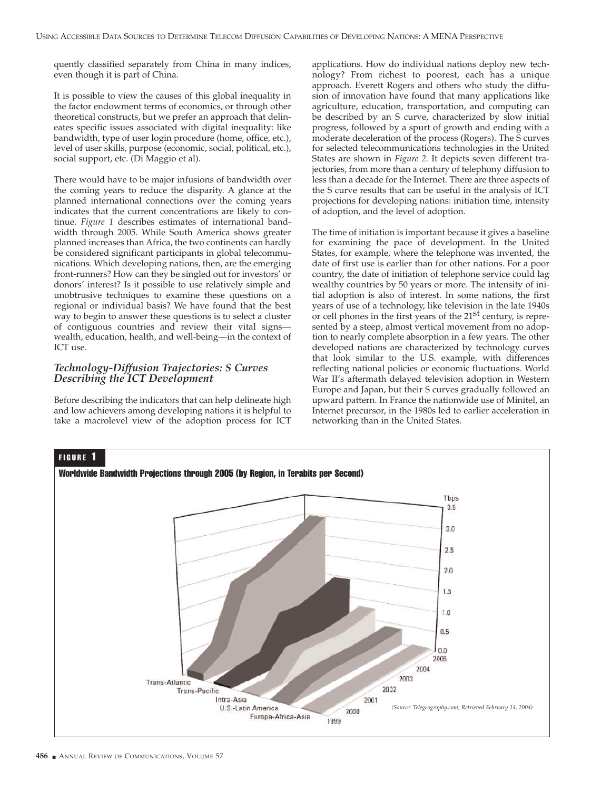quently classified separately from China in many indices, even though it is part of China.

It is possible to view the causes of this global inequality in the factor endowment terms of economics, or through other theoretical constructs, but we prefer an approach that delineates specific issues associated with digital inequality: like bandwidth, type of user login procedure (home, office, etc.), level of user skills, purpose (economic, social, political, etc.), social support, etc. (Di Maggio et al).

There would have to be major infusions of bandwidth over the coming years to reduce the disparity. A glance at the planned international connections over the coming years indicates that the current concentrations are likely to continue. *Figure 1* describes estimates of international bandwidth through 2005. While South America shows greater planned increases than Africa, the two continents can hardly be considered significant participants in global telecommunications. Which developing nations, then, are the emerging front-runners? How can they be singled out for investors' or donors' interest? Is it possible to use relatively simple and unobtrusive techniques to examine these questions on a regional or individual basis? We have found that the best way to begin to answer these questions is to select a cluster of contiguous countries and review their vital signs wealth, education, health, and well-being—in the context of ICT use.

#### *Technology-Diffusion Trajectories: S Curves Describing the ICT Development*

Before describing the indicators that can help delineate high and low achievers among developing nations it is helpful to take a macrolevel view of the adoption process for ICT applications. How do individual nations deploy new technology? From richest to poorest, each has a unique approach. Everett Rogers and others who study the diffusion of innovation have found that many applications like agriculture, education, transportation, and computing can be described by an S curve, characterized by slow initial progress, followed by a spurt of growth and ending with a moderate deceleration of the process (Rogers). The S curves for selected telecommunications technologies in the United States are shown in *Figure 2.* It depicts seven different trajectories, from more than a century of telephony diffusion to less than a decade for the Internet. There are three aspects of the S curve results that can be useful in the analysis of ICT projections for developing nations: initiation time, intensity of adoption, and the level of adoption.

The time of initiation is important because it gives a baseline for examining the pace of development. In the United States, for example, where the telephone was invented, the date of first use is earlier than for other nations. For a poor country, the date of initiation of telephone service could lag wealthy countries by 50 years or more. The intensity of initial adoption is also of interest. In some nations, the first years of use of a technology, like television in the late 1940s or cell phones in the first years of the  $21<sup>st</sup>$  century, is represented by a steep, almost vertical movement from no adoption to nearly complete absorption in a few years. The other developed nations are characterized by technology curves that look similar to the U.S. example, with differences reflecting national policies or economic fluctuations. World War II's aftermath delayed television adoption in Western Europe and Japan, but their S curves gradually followed an upward pattern. In France the nationwide use of Minitel, an Internet precursor, in the 1980s led to earlier acceleration in networking than in the United States.

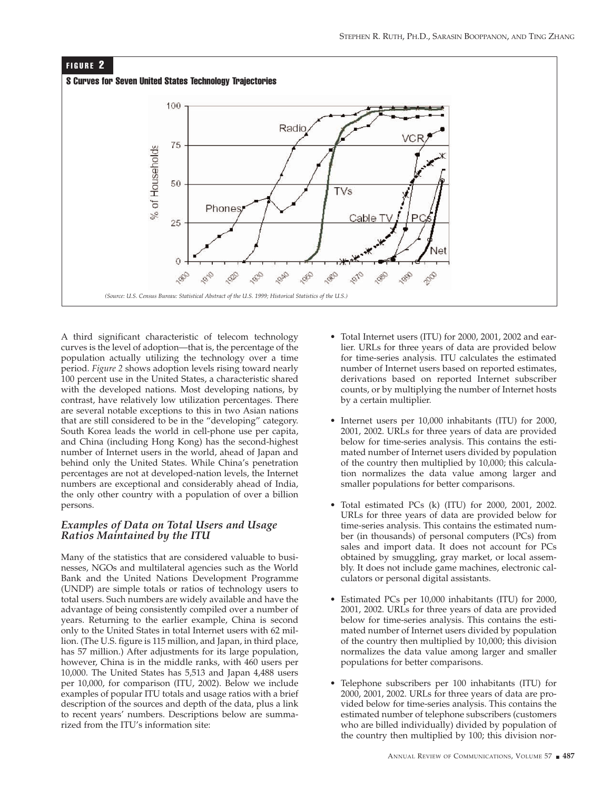

A third significant characteristic of telecom technology curves is the level of adoption—that is, the percentage of the population actually utilizing the technology over a time period. *Figure 2* shows adoption levels rising toward nearly 100 percent use in the United States, a characteristic shared with the developed nations. Most developing nations, by contrast, have relatively low utilization percentages. There are several notable exceptions to this in two Asian nations that are still considered to be in the "developing" category. South Korea leads the world in cell-phone use per capita, and China (including Hong Kong) has the second-highest number of Internet users in the world, ahead of Japan and behind only the United States. While China's penetration percentages are not at developed-nation levels, the Internet numbers are exceptional and considerably ahead of India, the only other country with a population of over a billion persons.

#### *Examples of Data on Total Users and Usage Ratios Maintained by the ITU*

Many of the statistics that are considered valuable to businesses, NGOs and multilateral agencies such as the World Bank and the United Nations Development Programme (UNDP) are simple totals or ratios of technology users to total users. Such numbers are widely available and have the advantage of being consistently compiled over a number of years. Returning to the earlier example, China is second only to the United States in total Internet users with 62 million. (The U.S. figure is 115 million, and Japan, in third place, has 57 million.) After adjustments for its large population, however, China is in the middle ranks, with 460 users per 10,000. The United States has 5,513 and Japan 4,488 users per 10,000, for comparison (ITU, 2002). Below we include examples of popular ITU totals and usage ratios with a brief description of the sources and depth of the data, plus a link to recent years' numbers. Descriptions below are summarized from the ITU's information site:

- Total Internet users (ITU) for 2000, 2001, 2002 and earlier. URLs for three years of data are provided below for time-series analysis. ITU calculates the estimated number of Internet users based on reported estimates, derivations based on reported Internet subscriber counts, or by multiplying the number of Internet hosts by a certain multiplier.
- Internet users per 10,000 inhabitants (ITU) for 2000, 2001, 2002. URLs for three years of data are provided below for time-series analysis. This contains the estimated number of Internet users divided by population of the country then multiplied by 10,000; this calculation normalizes the data value among larger and smaller populations for better comparisons.
- Total estimated PCs (k) (ITU) for 2000, 2001, 2002. URLs for three years of data are provided below for time-series analysis. This contains the estimated number (in thousands) of personal computers (PCs) from sales and import data. It does not account for PCs obtained by smuggling, gray market, or local assembly. It does not include game machines, electronic calculators or personal digital assistants.
- Estimated PCs per 10,000 inhabitants (ITU) for 2000, 2001, 2002. URLs for three years of data are provided below for time-series analysis. This contains the estimated number of Internet users divided by population of the country then multiplied by 10,000; this division normalizes the data value among larger and smaller populations for better comparisons.
- Telephone subscribers per 100 inhabitants (ITU) for 2000, 2001, 2002. URLs for three years of data are provided below for time-series analysis. This contains the estimated number of telephone subscribers (customers who are billed individually) divided by population of the country then multiplied by 100; this division nor-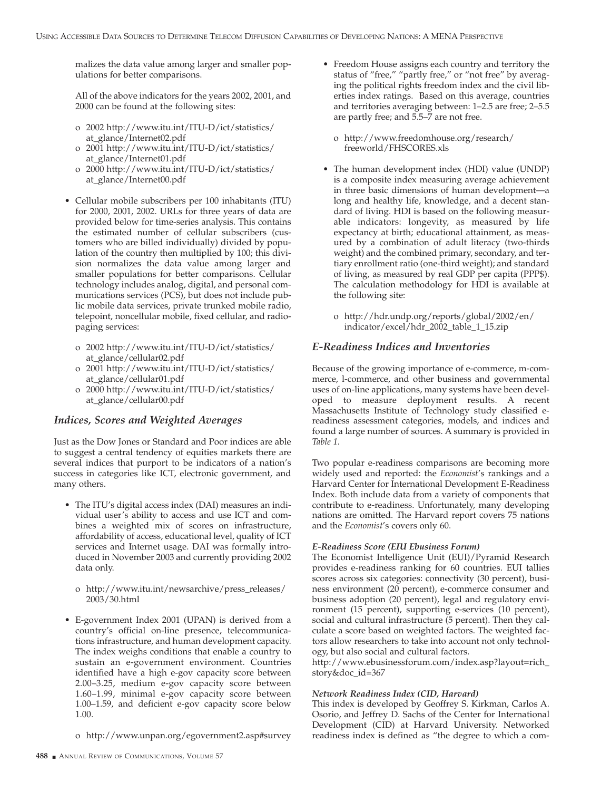malizes the data value among larger and smaller populations for better comparisons.

All of the above indicators for the years 2002, 2001, and 2000 can be found at the following sites:

- o 2002 http://www.itu.int/ITU-D/ict/statistics/ at\_glance/Internet02.pdf
- o 2001 http://www.itu.int/ITU-D/ict/statistics/ at\_glance/Internet01.pdf
- o 2000 http://www.itu.int/ITU-D/ict/statistics/ at\_glance/Internet00.pdf
- Cellular mobile subscribers per 100 inhabitants (ITU) for 2000, 2001, 2002. URLs for three years of data are provided below for time-series analysis. This contains the estimated number of cellular subscribers (customers who are billed individually) divided by population of the country then multiplied by 100; this division normalizes the data value among larger and smaller populations for better comparisons. Cellular technology includes analog, digital, and personal communications services (PCS), but does not include public mobile data services, private trunked mobile radio, telepoint, noncellular mobile, fixed cellular, and radiopaging services:
	- o 2002 http://www.itu.int/ITU-D/ict/statistics/ at\_glance/cellular02.pdf
	- o 2001 http://www.itu.int/ITU-D/ict/statistics/ at\_glance/cellular01.pdf
	- o 2000 http://www.itu.int/ITU-D/ict/statistics/ at\_glance/cellular00.pdf

# *Indices, Scores and Weighted Averages*

Just as the Dow Jones or Standard and Poor indices are able to suggest a central tendency of equities markets there are several indices that purport to be indicators of a nation's success in categories like ICT, electronic government, and many others.

- The ITU's digital access index (DAI) measures an individual user's ability to access and use ICT and combines a weighted mix of scores on infrastructure, affordability of access, educational level, quality of ICT services and Internet usage. DAI was formally introduced in November 2003 and currently providing 2002 data only.
	- o http://www.itu.int/newsarchive/press\_releases/ 2003/30.html
- E-government Index 2001 (UPAN) is derived from a country's official on-line presence, telecommunications infrastructure, and human development capacity. The index weighs conditions that enable a country to sustain an e-government environment. Countries identified have a high e-gov capacity score between 2.00–3.25, medium e-gov capacity score between 1.60–1.99, minimal e-gov capacity score between 1.00–1.59, and deficient e-gov capacity score below 1.00.
	- o http://www.unpan.org/egovernment2.asp#survey
- Freedom House assigns each country and territory the status of "free," "partly free," or "not free" by averaging the political rights freedom index and the civil liberties index ratings. Based on this average, countries and territories averaging between: 1–2.5 are free; 2–5.5 are partly free; and 5.5–7 are not free.
	- o http://www.freedomhouse.org/research/ freeworld/FHSCORES.xls
- The human development index (HDI) value (UNDP) is a composite index measuring average achievement in three basic dimensions of human development—a long and healthy life, knowledge, and a decent standard of living. HDI is based on the following measurable indicators: longevity, as measured by life expectancy at birth; educational attainment, as measured by a combination of adult literacy (two-thirds weight) and the combined primary, secondary, and tertiary enrollment ratio (one-third weight); and standard of living, as measured by real GDP per capita (PPP\$). The calculation methodology for HDI is available at the following site:
	- o http://hdr.undp.org/reports/global/2002/en/ indicator/excel/hdr\_2002\_table\_1\_15.zip

#### *E-Readiness Indices and Inventories*

Because of the growing importance of e-commerce, m-commerce, l-commerce, and other business and governmental uses of on-line applications, many systems have been developed to measure deployment results. A recent Massachusetts Institute of Technology study classified ereadiness assessment categories, models, and indices and found a large number of sources. A summary is provided in *Table 1.*

Two popular e-readiness comparisons are becoming more widely used and reported: the *Economist*'s rankings and a Harvard Center for International Development E-Readiness Index. Both include data from a variety of components that contribute to e-readiness. Unfortunately, many developing nations are omitted. The Harvard report covers 75 nations and the *Economist*'s covers only 60.

#### *E-Readiness Score (EIU Ebusiness Forum)*

The Economist Intelligence Unit (EUI)/Pyramid Research provides e-readiness ranking for 60 countries. EUI tallies scores across six categories: connectivity (30 percent), business environment (20 percent), e-commerce consumer and business adoption (20 percent), legal and regulatory environment (15 percent), supporting e-services (10 percent), social and cultural infrastructure (5 percent). Then they calculate a score based on weighted factors. The weighted factors allow researchers to take into account not only technology, but also social and cultural factors.

http://www.ebusinessforum.com/index.asp?layout=rich\_ story&doc\_id=367

#### *Network Readiness Index (CID, Harvard)*

This index is developed by Geoffrey S. Kirkman, Carlos A. Osorio, and Jeffrey D. Sachs of the Center for International Development (CID) at Harvard University. Networked readiness index is defined as "the degree to which a com-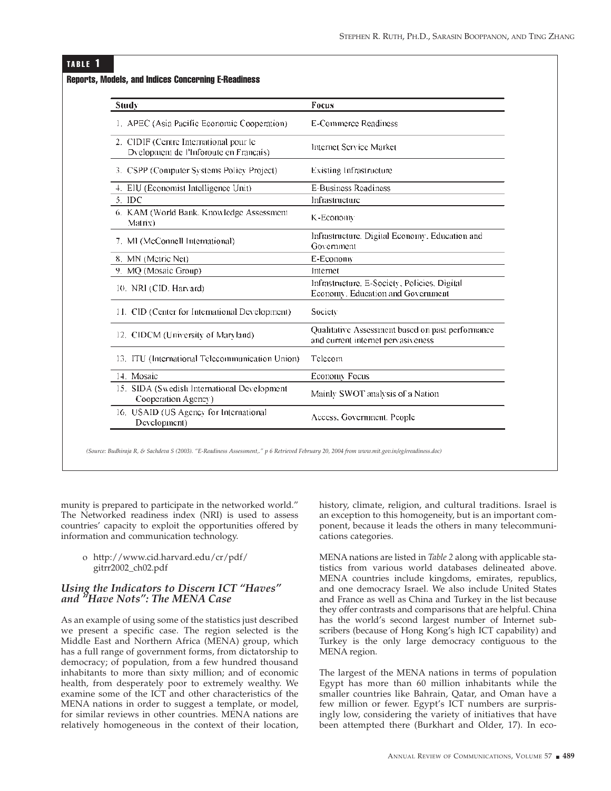#### TABLE 1

| Study                                                                            | Focus                                                                                  |  |  |  |
|----------------------------------------------------------------------------------|----------------------------------------------------------------------------------------|--|--|--|
| 1. APEC (Asia Pacific Economic Cooperation)                                      | E-Commerce Readiness                                                                   |  |  |  |
| 2. CIDIF (Centre International pour le<br>Dyelopment de l'Inforoute en Français) | Internet Service Market                                                                |  |  |  |
| 3. CSPP (Computer Systems Policy Project)                                        | <b>Existing Infrastructure</b>                                                         |  |  |  |
| 4. EIU (Economist Intelligence Unit)                                             | <b>E-Business Readiness</b>                                                            |  |  |  |
| 5. IDC                                                                           | Infrastructure                                                                         |  |  |  |
| 6. KAM (World Bank, Knowledge Assessment<br>Matrix)                              | K-Economy                                                                              |  |  |  |
| 7. MI (McConnell International)                                                  | Infrastructure. Digital Economy. Education and<br>Government                           |  |  |  |
| 8. MN (Metric Net)                                                               | E-Economy                                                                              |  |  |  |
| 9. MQ (Mosaic Group)                                                             | Internet                                                                               |  |  |  |
| 10. NRI (CID. Harvard)                                                           | Infrastructure, E-Society, Policies, Digital<br>Economy. Education and Government      |  |  |  |
| 11. CID (Center for International Development)                                   | Society                                                                                |  |  |  |
| 12. CIDCM (University of Maryland)                                               | Qualitative Assessment based on past performance<br>and current internet pervasiveness |  |  |  |
| 13. ITU (International Telecommunication Union)                                  | Telecom                                                                                |  |  |  |
| 14. Mosaic                                                                       | Economy Focus                                                                          |  |  |  |
| 15. SIDA (Swedish International Development<br>Cooperation Agency)               | Mainly SWOT analysis of a Nation                                                       |  |  |  |
| 16. USAID (US Agency for International<br>Development)                           | Access, Government, People                                                             |  |  |  |

#### Reports, Models, and Indices Concerning E-Readiness

munity is prepared to participate in the networked world." The Networked readiness index (NRI) is used to assess countries' capacity to exploit the opportunities offered by information and communication technology.

#### o http://www.cid.harvard.edu/cr/pdf/ gitrr2002\_ch02.pdf

#### *Using the Indicators to Discern ICT "Haves" and "Have Nots": The MENA Case*

As an example of using some of the statistics just described we present a specific case. The region selected is the Middle East and Northern Africa (MENA) group, which has a full range of government forms, from dictatorship to democracy; of population, from a few hundred thousand inhabitants to more than sixty million; and of economic health, from desperately poor to extremely wealthy. We examine some of the ICT and other characteristics of the MENA nations in order to suggest a template, or model, for similar reviews in other countries. MENA nations are relatively homogeneous in the context of their location, history, climate, religion, and cultural traditions. Israel is an exception to this homogeneity, but is an important component, because it leads the others in many telecommunications categories.

MENA nations are listed in *Table 2* along with applicable statistics from various world databases delineated above. MENA countries include kingdoms, emirates, republics, and one democracy Israel. We also include United States and France as well as China and Turkey in the list because they offer contrasts and comparisons that are helpful. China has the world's second largest number of Internet subscribers (because of Hong Kong's high ICT capability) and Turkey is the only large democracy contiguous to the MENA region.

The largest of the MENA nations in terms of population Egypt has more than 60 million inhabitants while the smaller countries like Bahrain, Qatar, and Oman have a few million or fewer. Egypt's ICT numbers are surprisingly low, considering the variety of initiatives that have been attempted there (Burkhart and Older, 17). In eco-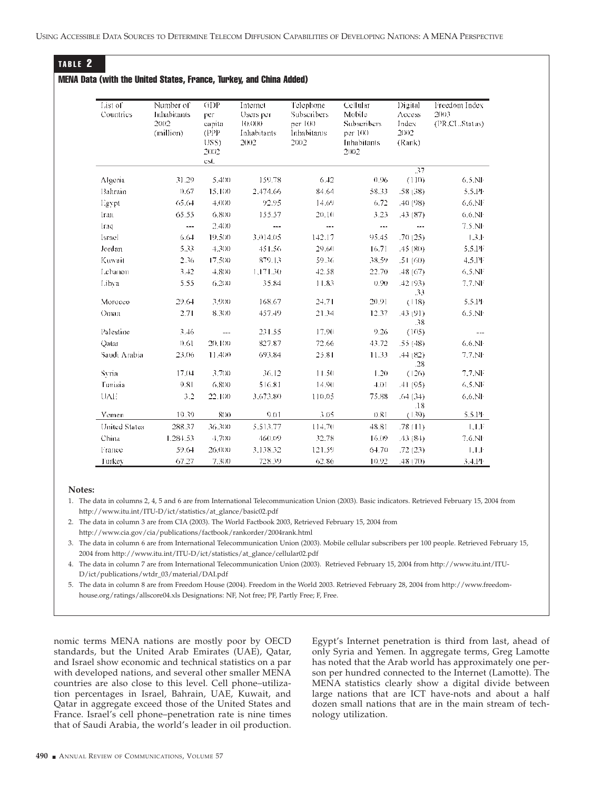# TABLE 2

#### MENA Data (with the United States, France, Turkey, and China Added)

| List of<br>Countries | Number of<br>Inhabitants<br>2002<br>(million) | GDP<br>per<br>capita<br>(PPP)<br>USS)<br>2002<br>est. | Internet<br>Users per<br>10.000<br>Inhabitants<br>2002 | Telephone<br>Subscribers.<br>$pcr$ 100<br>Inhabitants<br>2002 | Cellular<br>Mobile<br>Subscribers<br>per 100<br>Inhabitants<br>2002 | Digital<br>Access<br>Index<br>2002.<br>(Rank) | Freedom Index<br>2003<br>(PR,CL,Status) |
|----------------------|-----------------------------------------------|-------------------------------------------------------|--------------------------------------------------------|---------------------------------------------------------------|---------------------------------------------------------------------|-----------------------------------------------|-----------------------------------------|
|                      |                                               |                                                       |                                                        |                                                               |                                                                     | .37                                           |                                         |
| Algeria              | 31.29                                         | 5.400                                                 | 159.78                                                 | 6.42                                                          | 0.96                                                                | (110)                                         | $6.5$ .NI $\cdot$                       |
| Bahrain              | 0.67                                          | 15,100                                                | 2.474.66                                               | 84.64                                                         | 58.33                                                               | .58(38)                                       | 5.5.PF                                  |
| Egypt                | 65.64                                         | 4.000                                                 | 92.95                                                  | 14.69                                                         | 6.72                                                                | (40(98))                                      | $6.6.$ NF                               |
| <b>Iran</b>          | 65.55                                         | 6,800                                                 | 155.57                                                 | 20.10                                                         | 3.23                                                                | .43(87)                                       | 6.6.NF                                  |
| Iraq                 |                                               | 2.400                                                 | ---                                                    | $\overline{a}$                                                |                                                                     | $\cdots$                                      | 7.5.NF                                  |
| <b>Israel</b>        | 6.64                                          | 19.500                                                | 3.014.05                                               | 142.17                                                        | 95.45                                                               | .70(25)                                       | 1.3.1                                   |
| Jordan               | 5.33                                          | 4,300                                                 | 451.56                                                 | 29,60                                                         | 16.71                                                               | .45(80)                                       | 5.5.14                                  |
| Kuwait               | 2.36                                          | 17,500                                                | 879.13                                                 | 59.36                                                         | 38.59                                                               | .51(60)                                       | 4.5.PF                                  |
| Lebanon              | 3.42                                          | $+800$                                                | 1,171.30                                               | 42.58                                                         | 22.70                                                               | .48(67)                                       | 6,5.NF                                  |
| Libya                | 5.55                                          | 6,200                                                 | 35.84                                                  | 11.83                                                         | 0.90                                                                | .42 (93)<br>.33                               | 7.7.NF                                  |
| Morocco              | 29.64                                         | 3,900                                                 | 168.67                                                 | 24.71                                                         | 20.91                                                               | (118)                                         | 5.5.PF                                  |
| Oman                 | 2.71                                          | 8.300                                                 | 457.49                                                 | 21.34                                                         | 12.37                                                               | .43 (91)<br>.38                               | 6.5.NF                                  |
| Palestine            | 3.46                                          | $\sim$                                                | 231.55                                                 | 17.90                                                         | 9.26                                                                | (105)                                         | $-\cdots$                               |
| Qatar                | 0.61                                          | 20,100                                                | 827.87                                                 | 72.66                                                         | 43.72                                                               | .55(48)                                       | $6.6.$ NI $\cdot$                       |
| Saudi Arabia         | 23.06                                         | 11,400                                                | 693.84                                                 | 25.81                                                         | 11.33                                                               | .44(82)<br>.28                                | 7.7.NF                                  |
| Syria                | 17.04                                         | 3,700                                                 | 36.12                                                  | 11.50                                                         | 1.20                                                                | (126)                                         | 7.7.NF                                  |
| Tunisia              | 9.81                                          | 6,800                                                 | 516.81                                                 | 14.90                                                         | 4.01                                                                | .41(95)                                       | 6.5.NF                                  |
| <b>UAE</b>           | 3.2                                           | 22,100                                                | 3,673.80                                               | 110.05                                                        | 75.88                                                               | .64(34)<br>.18                                | $6.6.$ NI $\cdot$                       |
| Yemen                | 19.39                                         | 800                                                   | 9.01                                                   | 3.05                                                          | 0.81                                                                | (139)                                         | 5.5.14                                  |
| <b>United States</b> | 288.37                                        | 36.300                                                | 5.513.77                                               | 114.70                                                        | 48.81                                                               | .78(11)                                       | LLF                                     |
| China                | 1.284.53                                      | $+700$                                                | 460.09                                                 | 32.78                                                         | 16.09                                                               | $-43(8+)$                                     | $7.6.$ NF                               |
| France               | 59.64                                         | 26,000                                                | 3.138.32                                               | 121.59                                                        | 64.70                                                               | .72(23)                                       | LLE                                     |
| Turkey               | 67.27                                         | 7.300                                                 | 728.39                                                 | 62.86                                                         | 10.92                                                               | .48 (70)                                      | 3.4.14                                  |

#### **Notes:**

2. The data in column 3 are from CIA (2003). The World Factbook 2003, Retrieved February 15, 2004 from http://www.cia.gov/cia/publications/factbook/rankorder/2004rank.html

3. The data in column 6 are from International Telecommunication Union (2003). Mobile cellular subscribers per 100 people. Retrieved February 15, 2004 from http://www.itu.int/ITU-D/ict/statistics/at\_glance/cellular02.pdf

4. The data in column 7 are from International Telecommunication Union (2003). Retrieved February 15, 2004 from http://www.itu.int/ITU-D/ict/publications/wtdr\_03/material/DAI.pdf

5. The data in column 8 are from Freedom House (2004). Freedom in the World 2003. Retrieved February 28, 2004 from http://www.freedomhouse.org/ratings/allscore04.xls Designations: NF, Not free; PF, Partly Free; F, Free.

nomic terms MENA nations are mostly poor by OECD standards, but the United Arab Emirates (UAE), Qatar, and Israel show economic and technical statistics on a par with developed nations, and several other smaller MENA countries are also close to this level. Cell phone–utilization percentages in Israel, Bahrain, UAE, Kuwait, and Qatar in aggregate exceed those of the United States and France. Israel's cell phone–penetration rate is nine times that of Saudi Arabia, the world's leader in oil production.

Egypt's Internet penetration is third from last, ahead of only Syria and Yemen. In aggregate terms, Greg Lamotte has noted that the Arab world has approximately one person per hundred connected to the Internet (Lamotte). The MENA statistics clearly show a digital divide between large nations that are ICT have-nots and about a half dozen small nations that are in the main stream of technology utilization.

<sup>1.</sup> The data in columns 2, 4, 5 and 6 are from International Telecommunication Union (2003). Basic indicators. Retrieved February 15, 2004 from http://www.itu.int/ITU-D/ict/statistics/at\_glance/basic02.pdf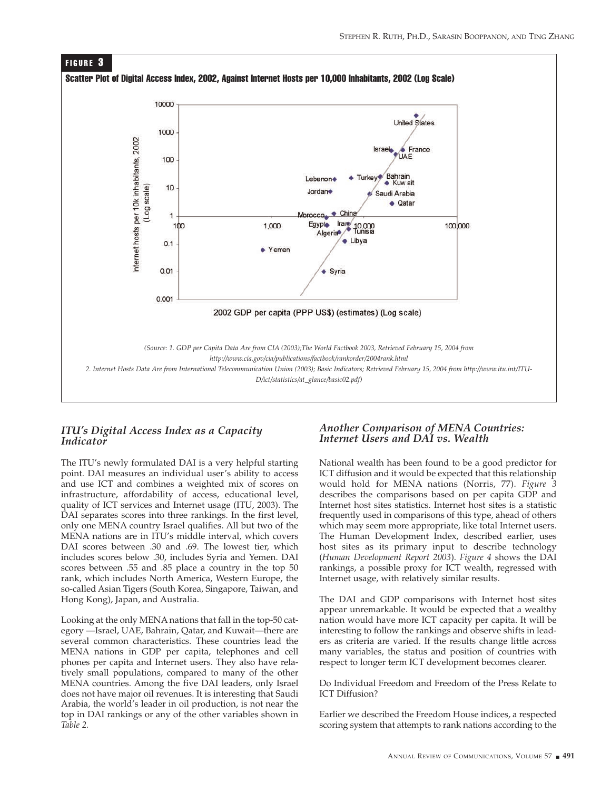

# *ITU's Digital Access Index as a Capacity Indicator*

The ITU's newly formulated DAI is a very helpful starting point. DAI measures an individual user's ability to access and use ICT and combines a weighted mix of scores on infrastructure, affordability of access, educational level, quality of ICT services and Internet usage (ITU, 2003). The DAI separates scores into three rankings. In the first level, only one MENA country Israel qualifies. All but two of the MENA nations are in ITU's middle interval, which covers DAI scores between .30 and .69. The lowest tier, which includes scores below .30, includes Syria and Yemen. DAI scores between .55 and .85 place a country in the top 50 rank, which includes North America, Western Europe, the so-called Asian Tigers (South Korea, Singapore, Taiwan, and Hong Kong), Japan, and Australia.

Looking at the only MENA nations that fall in the top-50 category —Israel, UAE, Bahrain, Qatar, and Kuwait—there are several common characteristics. These countries lead the MENA nations in GDP per capita, telephones and cell phones per capita and Internet users. They also have relatively small populations, compared to many of the other MENA countries. Among the five DAI leaders, only Israel does not have major oil revenues. It is interesting that Saudi Arabia, the world's leader in oil production, is not near the top in DAI rankings or any of the other variables shown in *Table 2.*

# *Another Comparison of MENA Countries: Internet Users and DAI vs. Wealth*

National wealth has been found to be a good predictor for ICT diffusion and it would be expected that this relationship would hold for MENA nations (Norris, 77). *Figure 3* describes the comparisons based on per capita GDP and Internet host sites statistics. Internet host sites is a statistic frequently used in comparisons of this type, ahead of others which may seem more appropriate, like total Internet users. The Human Development Index, described earlier, uses host sites as its primary input to describe technology (*Human Development Report 2003*). *Figure 4* shows the DAI rankings, a possible proxy for ICT wealth, regressed with Internet usage, with relatively similar results.

The DAI and GDP comparisons with Internet host sites appear unremarkable. It would be expected that a wealthy nation would have more ICT capacity per capita. It will be interesting to follow the rankings and observe shifts in leaders as criteria are varied. If the results change little across many variables, the status and position of countries with respect to longer term ICT development becomes clearer.

Do Individual Freedom and Freedom of the Press Relate to ICT Diffusion?

Earlier we described the Freedom House indices, a respected scoring system that attempts to rank nations according to the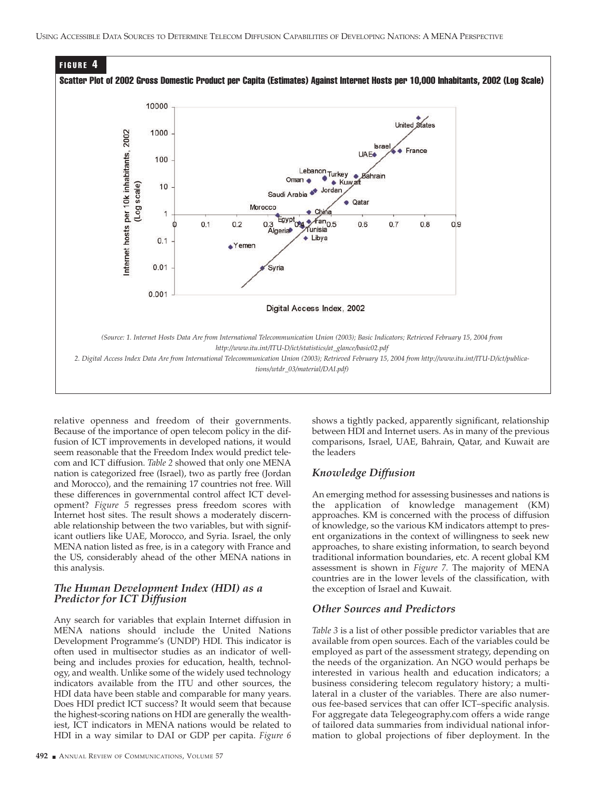

relative openness and freedom of their governments. Because of the importance of open telecom policy in the diffusion of ICT improvements in developed nations, it would seem reasonable that the Freedom Index would predict telecom and ICT diffusion. *Table 2* showed that only one MENA nation is categorized free (Israel), two as partly free (Jordan and Morocco), and the remaining 17 countries not free. Will these differences in governmental control affect ICT development? *Figure 5* regresses press freedom scores with Internet host sites. The result shows a moderately discernable relationship between the two variables, but with significant outliers like UAE, Morocco, and Syria. Israel, the only MENA nation listed as free, is in a category with France and the US, considerably ahead of the other MENA nations in this analysis.

#### *The Human Development Index (HDI) as a Predictor for ICT Diffusion*

Any search for variables that explain Internet diffusion in MENA nations should include the United Nations Development Programme's (UNDP) HDI. This indicator is often used in multisector studies as an indicator of wellbeing and includes proxies for education, health, technology, and wealth. Unlike some of the widely used technology indicators available from the ITU and other sources, the HDI data have been stable and comparable for many years. Does HDI predict ICT success? It would seem that because the highest-scoring nations on HDI are generally the wealthiest, ICT indicators in MENA nations would be related to HDI in a way similar to DAI or GDP per capita. *Figure 6*

shows a tightly packed, apparently significant, relationship between HDI and Internet users. As in many of the previous comparisons, Israel, UAE, Bahrain, Qatar, and Kuwait are the leaders

#### *Knowledge Diffusion*

An emerging method for assessing businesses and nations is the application of knowledge management (KM) approaches. KM is concerned with the process of diffusion of knowledge, so the various KM indicators attempt to present organizations in the context of willingness to seek new approaches, to share existing information, to search beyond traditional information boundaries, etc. A recent global KM assessment is shown in *Figure 7.* The majority of MENA countries are in the lower levels of the classification, with the exception of Israel and Kuwait.

#### *Other Sources and Predictors*

*Table 3* is a list of other possible predictor variables that are available from open sources. Each of the variables could be employed as part of the assessment strategy, depending on the needs of the organization. An NGO would perhaps be interested in various health and education indicators; a business considering telecom regulatory history; a multilateral in a cluster of the variables. There are also numerous fee-based services that can offer ICT–specific analysis. For aggregate data Telegeography.com offers a wide range of tailored data summaries from individual national information to global projections of fiber deployment. In the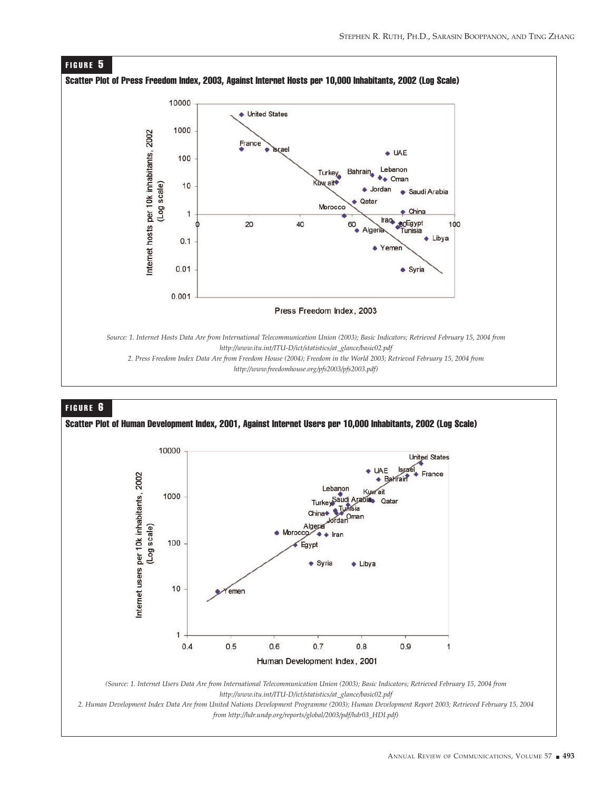

#### FIGURE 6

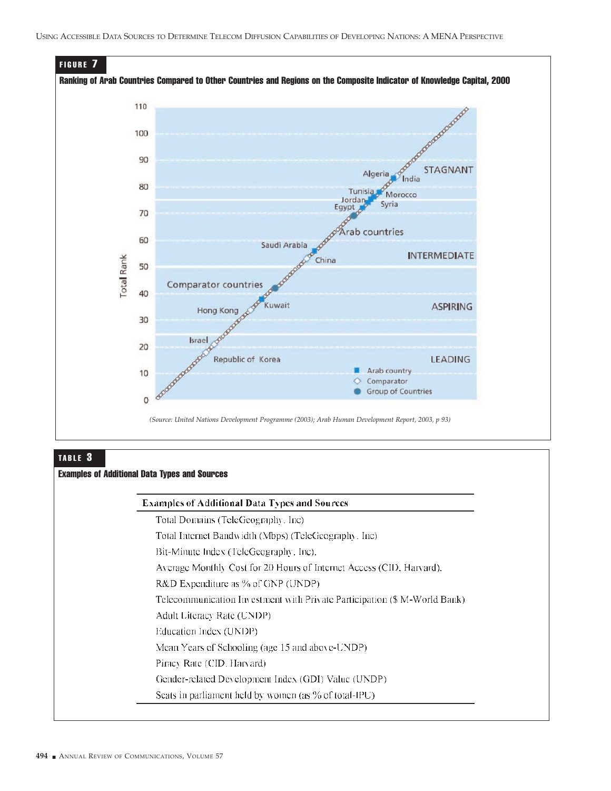

# TABLE 3

## Examples of Additional Data Types and Sources

#### **Examples of Additional Data Types and Sources**

Total Domains (TeleGeography, Inc)

Total Internet Bandwidth (Mbps) (TeleGeography, Inc)

Bit-Minute Index (TeleGeography, Inc).

Average Monthly Cost for 20 Hours of Internet Access (CID, Harvard).

R&D Expenditure as % of GNP (UNDP)

Telecommunication Investment with Private Participation (\$ M-World Bank)

- Adult Literacy Rate (UNDP)
- Education Index (UNDP)

Mean Years of Schooling (age 15 and above-UNDP)

Piracy Rate (CID, Harvard)

Gender-related Development Index (GDI) Value (UNDP)

Seats in parliament held by women (as % of total-IPU)